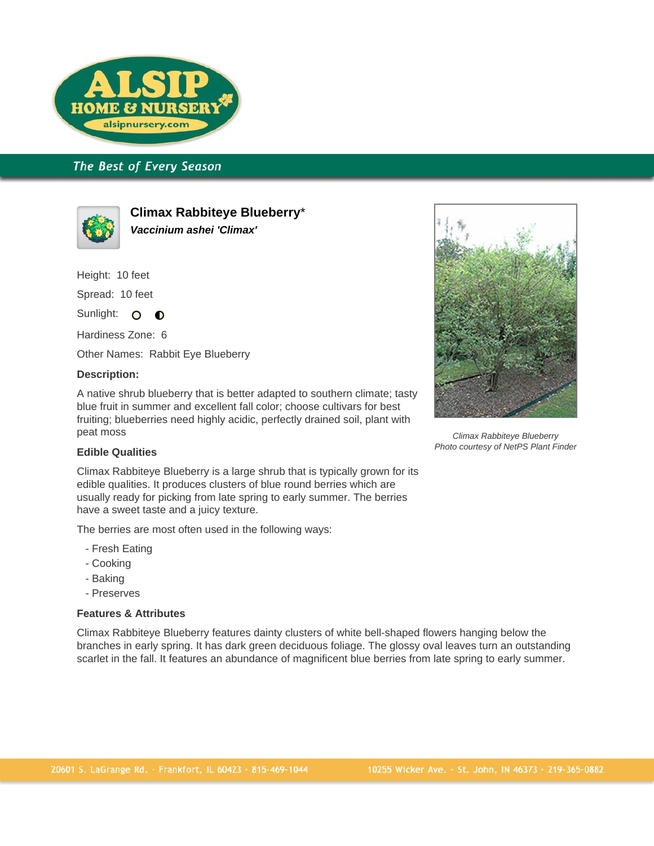

# The Best of Every Season



**Climax Rabbiteye Blueberry**\* **Vaccinium ashei 'Climax'**

Height: 10 feet

Spread: 10 feet

Sunlight: O  $\bullet$ 

Hardiness Zone: 6

Other Names: Rabbit Eye Blueberry

#### **Description:**

A native shrub blueberry that is better adapted to southern climate; tasty blue fruit in summer and excellent fall color; choose cultivars for best fruiting; blueberries need highly acidic, perfectly drained soil, plant with peat moss

### **Edible Qualities**

Climax Rabbiteye Blueberry is a large shrub that is typically grown for its edible qualities. It produces clusters of blue round berries which are usually ready for picking from late spring to early summer. The berries have a sweet taste and a juicy texture.

The berries are most often used in the following ways:

- Fresh Eating
- Cooking
- Baking
- Preserves

#### **Features & Attributes**

Climax Rabbiteye Blueberry features dainty clusters of white bell-shaped flowers hanging below the branches in early spring. It has dark green deciduous foliage. The glossy oval leaves turn an outstanding scarlet in the fall. It features an abundance of magnificent blue berries from late spring to early summer.



Climax Rabbiteye Blueberry Photo courtesy of NetPS Plant Finder